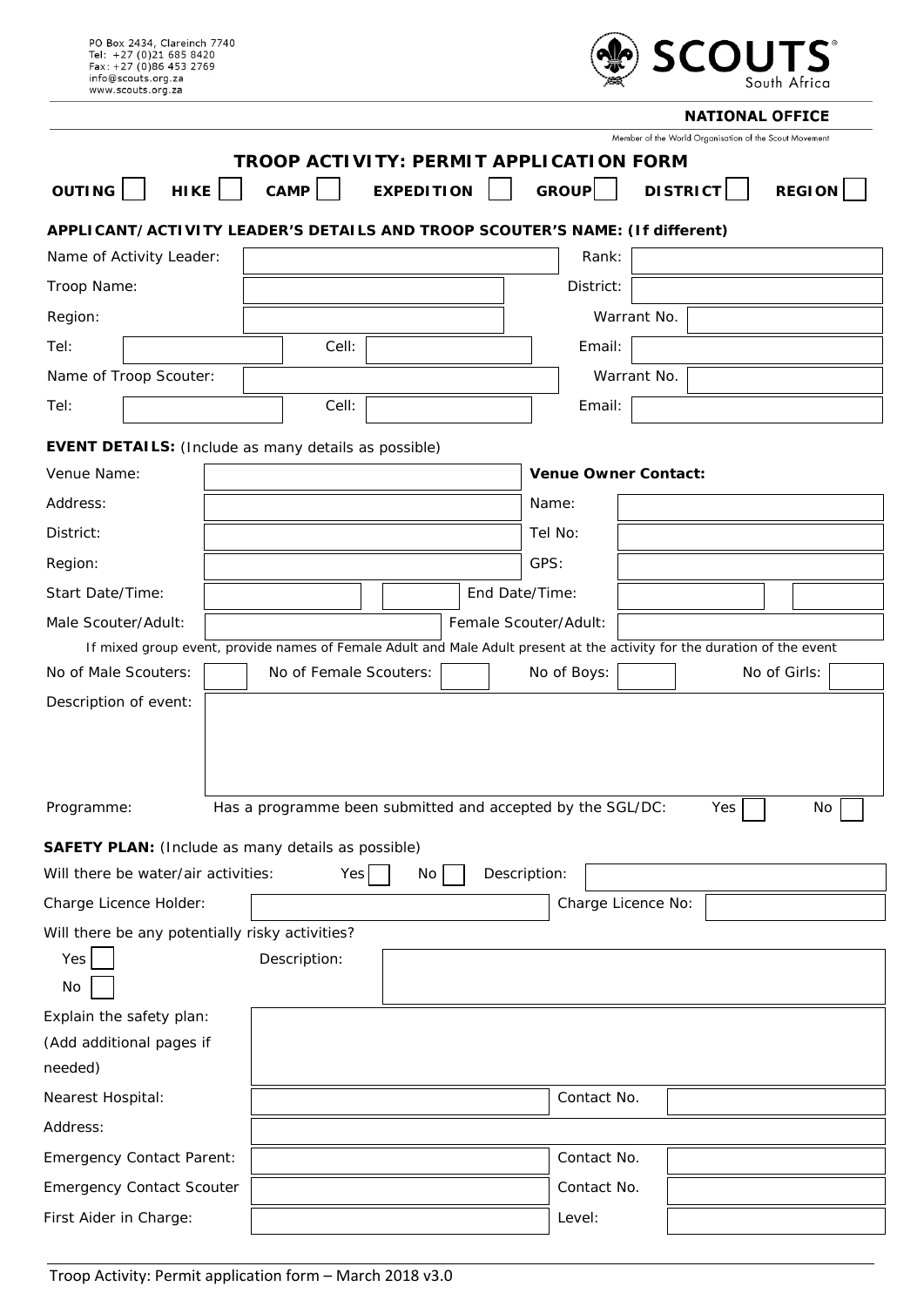| PO Box 2434, Clareinch 7740<br>Tel: +27 (0)21 685 8420<br>Fax: +27 (0)86 453 2769<br>info@scouts.org.za<br>www.scouts.org.za                     |  |                                                            |                   | <b>SCOUTS</b><br>South Africa |                       |                             |             |                                                                    |               |    |
|--------------------------------------------------------------------------------------------------------------------------------------------------|--|------------------------------------------------------------|-------------------|-------------------------------|-----------------------|-----------------------------|-------------|--------------------------------------------------------------------|---------------|----|
|                                                                                                                                                  |  |                                                            |                   |                               |                       |                             |             | <b>NATIONAL OFFICE</b>                                             |               |    |
| <b>OUTING</b><br>HIKE                                                                                                                            |  | <b>TROOP ACTIVITY: PERMIT APPLICATION FORM</b><br>CAMP     | <b>EXPEDITION</b> |                               |                       | GROUP                       |             | Member of the World Organisation of the Scout Movement<br>DISTRICT | <b>REGION</b> |    |
| APPLICANT/ACTIVITY LEADER'S DETAILS AND TROOP SCOUTER'S NAME: (If different)                                                                     |  |                                                            |                   |                               |                       |                             |             |                                                                    |               |    |
| Name of Activity Leader:                                                                                                                         |  |                                                            |                   |                               |                       | Rank:                       |             |                                                                    |               |    |
| Troop Name:                                                                                                                                      |  |                                                            |                   |                               |                       | District:                   |             |                                                                    |               |    |
| Region:                                                                                                                                          |  |                                                            |                   |                               |                       |                             | Warrant No. |                                                                    |               |    |
| Tel:                                                                                                                                             |  | Cell:                                                      |                   |                               |                       | Email:                      |             |                                                                    |               |    |
| Name of Troop Scouter:                                                                                                                           |  |                                                            |                   |                               |                       |                             | Warrant No. |                                                                    |               |    |
| Tel:                                                                                                                                             |  | Cell:                                                      |                   |                               |                       | Email:                      |             |                                                                    |               |    |
| <b>EVENT DETAILS:</b> (Include as many details as possible)                                                                                      |  |                                                            |                   |                               |                       |                             |             |                                                                    |               |    |
| Venue Name:                                                                                                                                      |  |                                                            |                   |                               |                       | <b>Venue Owner Contact:</b> |             |                                                                    |               |    |
| Address:                                                                                                                                         |  |                                                            |                   |                               |                       | Name:                       |             |                                                                    |               |    |
| District:                                                                                                                                        |  |                                                            |                   |                               |                       | Tel No:                     |             |                                                                    |               |    |
|                                                                                                                                                  |  |                                                            |                   |                               |                       |                             |             |                                                                    |               |    |
| Region:                                                                                                                                          |  |                                                            |                   |                               | GPS:                  |                             |             |                                                                    |               |    |
| Start Date/Time:                                                                                                                                 |  |                                                            |                   |                               | End Date/Time:        |                             |             |                                                                    |               |    |
| Male Scouter/Adult:                                                                                                                              |  |                                                            |                   |                               | Female Scouter/Adult: |                             |             |                                                                    |               |    |
| If mixed group event, provide names of Female Adult and Male Adult present at the activity for the duration of the event<br>No of Male Scouters: |  | No of Female Scouters:                                     |                   |                               |                       | No of Boys:                 |             |                                                                    | No of Girls:  |    |
| Description of event:                                                                                                                            |  |                                                            |                   |                               |                       |                             |             |                                                                    |               |    |
| Programme:                                                                                                                                       |  |                                                            |                   |                               |                       |                             |             |                                                                    |               |    |
|                                                                                                                                                  |  | Has a programme been submitted and accepted by the SGL/DC: |                   |                               |                       |                             |             | Yes                                                                |               | No |
| <b>SAFETY PLAN:</b> (Include as many details as possible)                                                                                        |  |                                                            |                   |                               |                       |                             |             |                                                                    |               |    |
| Will there be water/air activities:                                                                                                              |  | Yes                                                        | No                |                               | Description:          |                             |             |                                                                    |               |    |
| Charge Licence Holder:                                                                                                                           |  |                                                            |                   |                               |                       | Charge Licence No:          |             |                                                                    |               |    |
| Will there be any potentially risky activities?                                                                                                  |  |                                                            |                   |                               |                       |                             |             |                                                                    |               |    |
| Yes<br>No                                                                                                                                        |  | Description:                                               |                   |                               |                       |                             |             |                                                                    |               |    |
| Explain the safety plan:                                                                                                                         |  |                                                            |                   |                               |                       |                             |             |                                                                    |               |    |
| (Add additional pages if                                                                                                                         |  |                                                            |                   |                               |                       |                             |             |                                                                    |               |    |
| needed)                                                                                                                                          |  |                                                            |                   |                               |                       |                             |             |                                                                    |               |    |
| Nearest Hospital:                                                                                                                                |  |                                                            |                   |                               |                       | Contact No.                 |             |                                                                    |               |    |
| Address:                                                                                                                                         |  |                                                            |                   |                               |                       |                             |             |                                                                    |               |    |
| <b>Emergency Contact Parent:</b>                                                                                                                 |  |                                                            |                   |                               |                       | Contact No.                 |             |                                                                    |               |    |
| <b>Emergency Contact Scouter</b>                                                                                                                 |  |                                                            |                   |                               |                       | Contact No.                 |             |                                                                    |               |    |
| First Aider in Charge:                                                                                                                           |  |                                                            |                   |                               |                       | Level:                      |             |                                                                    |               |    |
|                                                                                                                                                  |  |                                                            |                   |                               |                       |                             |             |                                                                    |               |    |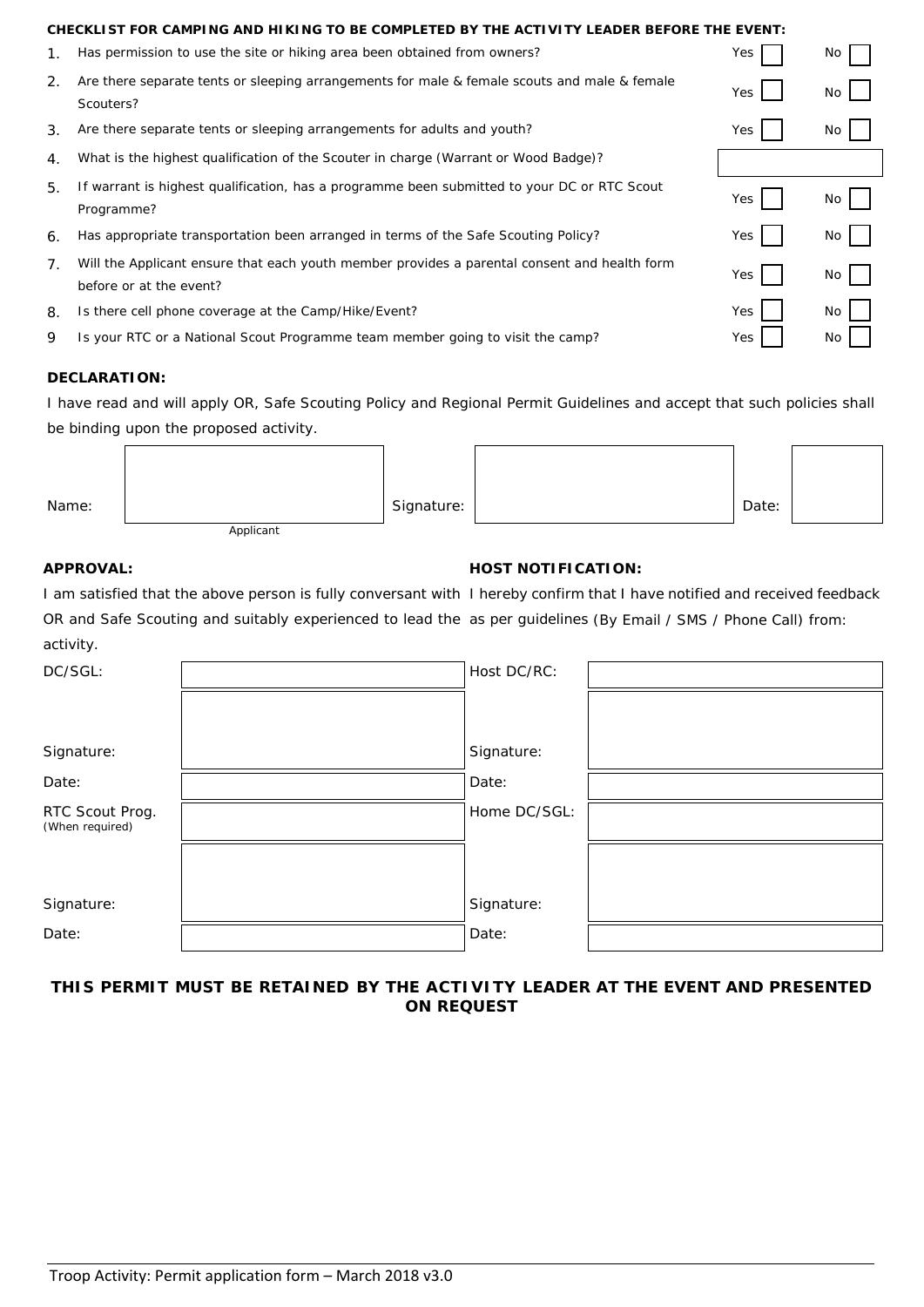| CHECKLIST FOR CAMPING AND HIKING TO BE COMPLETED BY THE ACTIVITY LEADER BEFORE THE EVENT: |                                                                                                                         |     |     |  |  |  |  |
|-------------------------------------------------------------------------------------------|-------------------------------------------------------------------------------------------------------------------------|-----|-----|--|--|--|--|
| 1.                                                                                        | Has permission to use the site or hiking area been obtained from owners?                                                | Yes | No. |  |  |  |  |
| $\mathcal{P}_{\cdot}$                                                                     | Are there separate tents or sleeping arrangements for male & female scouts and male & female<br>Scouters?               | Yes | No. |  |  |  |  |
| 3.                                                                                        | Are there separate tents or sleeping arrangements for adults and youth?                                                 | Yes | No. |  |  |  |  |
| 4.                                                                                        | What is the highest qualification of the Scouter in charge (Warrant or Wood Badge)?                                     |     |     |  |  |  |  |
| 5.                                                                                        | If warrant is highest qualification, has a programme been submitted to your DC or RTC Scout<br>Programme?               | Yes | No. |  |  |  |  |
| 6.                                                                                        | Has appropriate transportation been arranged in terms of the Safe Scouting Policy?                                      | Yes | No  |  |  |  |  |
| 7.                                                                                        | Will the Applicant ensure that each youth member provides a parental consent and health form<br>before or at the event? | Yes | No  |  |  |  |  |
| 8.                                                                                        | Is there cell phone coverage at the Camp/Hike/Event?                                                                    | Yes | No. |  |  |  |  |
| 9                                                                                         | Is your RTC or a National Scout Programme team member going to visit the camp?                                          | Yes | No. |  |  |  |  |

# **DECLARATION:**

I have read and will apply OR, Safe Scouting Policy and Regional Permit Guidelines and accept that such policies shall be binding upon the proposed activity.

| Name: |           | Signature: | Date: |  |
|-------|-----------|------------|-------|--|
|       | Applicant |            |       |  |

# **APPROVAL: HOST NOTIFICATION:**

I am satisfied that the above person is fully conversant with I hereby confirm that I have notified and received feedback OR and Safe Scouting and suitably experienced to lead the as per guidelines (By Email / SMS / Phone Call) from: activity.

| DC/SGL:         | Host DC/RC:  |  |
|-----------------|--------------|--|
|                 |              |  |
|                 |              |  |
|                 |              |  |
| Signature:      | Signature:   |  |
| Date:           | Date:        |  |
|                 |              |  |
| RTC Scout Prog. | Home DC/SGL: |  |
| (When required) |              |  |
|                 |              |  |
|                 |              |  |
|                 |              |  |
| Signature:      | Signature:   |  |
| Date:           | Date:        |  |
|                 |              |  |

# **THIS PERMIT MUST BE RETAINED BY THE ACTIVITY LEADER AT THE EVENT AND PRESENTED ON REQUEST**